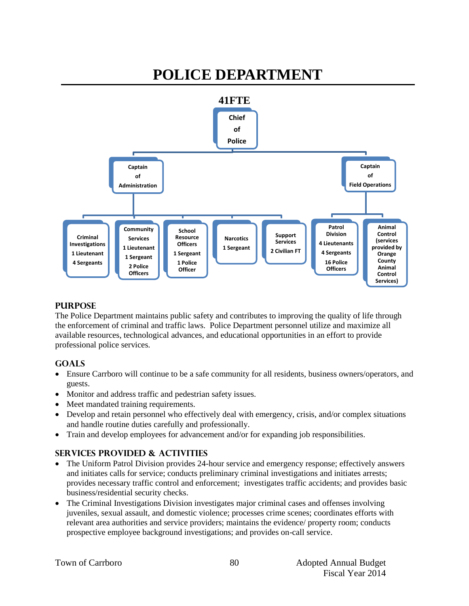# **POLICE DEPARTMENT**



#### **PURPOSE**

The Police Department maintains public safety and contributes to improving the quality of life through the enforcement of criminal and traffic laws. Police Department personnel utilize and maximize all available resources, technological advances, and educational opportunities in an effort to provide professional police services.

#### **GOALS**

- Ensure Carrboro will continue to be a safe community for all residents, business owners/operators, and guests.
- Monitor and address traffic and pedestrian safety issues.
- Meet mandated training requirements.
- Develop and retain personnel who effectively deal with emergency, crisis, and/or complex situations and handle routine duties carefully and professionally.
- Train and develop employees for advancement and/or for expanding job responsibilities.

#### **SERVICES PROVIDED & ACTIVITIES**

- The Uniform Patrol Division provides 24-hour service and emergency response; effectively answers and initiates calls for service; conducts preliminary criminal investigations and initiates arrests; provides necessary traffic control and enforcement; investigates traffic accidents; and provides basic business/residential security checks.
- The Criminal Investigations Division investigates major criminal cases and offenses involving juveniles, sexual assault, and domestic violence; processes crime scenes; coordinates efforts with relevant area authorities and service providers; maintains the evidence/ property room; conducts prospective employee background investigations; and provides on-call service.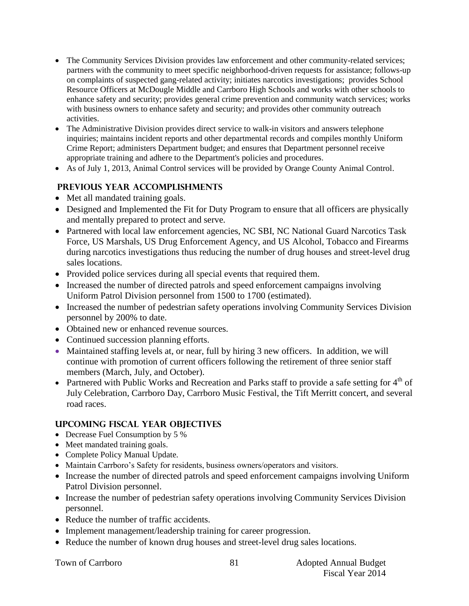- The Community Services Division provides law enforcement and other community-related services; partners with the community to meet specific neighborhood-driven requests for assistance; follows-up on complaints of suspected gang-related activity; initiates narcotics investigations; provides School Resource Officers at McDougle Middle and Carrboro High Schools and works with other schools to enhance safety and security; provides general crime prevention and community watch services; works with business owners to enhance safety and security; and provides other community outreach activities.
- The Administrative Division provides direct service to walk-in visitors and answers telephone inquiries; maintains incident reports and other departmental records and compiles monthly Uniform Crime Report; administers Department budget; and ensures that Department personnel receive appropriate training and adhere to the Department's policies and procedures.
- As of July 1, 2013, Animal Control services will be provided by Orange County Animal Control.

## **PREVIOUS YEAR ACCOMPLISHMENTS**

- Met all mandated training goals.
- Designed and Implemented the Fit for Duty Program to ensure that all officers are physically and mentally prepared to protect and serve.
- Partnered with local law enforcement agencies, NC SBI, NC National Guard Narcotics Task Force, US Marshals, US Drug Enforcement Agency, and US Alcohol, Tobacco and Firearms during narcotics investigations thus reducing the number of drug houses and street-level drug sales locations.
- Provided police services during all special events that required them.
- Increased the number of directed patrols and speed enforcement campaigns involving Uniform Patrol Division personnel from 1500 to 1700 (estimated).
- Increased the number of pedestrian safety operations involving Community Services Division personnel by 200% to date.
- Obtained new or enhanced revenue sources.
- Continued succession planning efforts.
- Maintained staffing levels at, or near, full by hiring 3 new officers. In addition, we will continue with promotion of current officers following the retirement of three senior staff members (March, July, and October).
- Partnered with Public Works and Recreation and Parks staff to provide a safe setting for  $4<sup>th</sup>$  of July Celebration, Carrboro Day, Carrboro Music Festival, the Tift Merritt concert, and several road races.

#### **UPCOMING FISCAL YEAR OBJECTIVES**

- Decrease Fuel Consumption by 5 %
- Meet mandated training goals.
- Complete Policy Manual Update.
- Maintain Carrboro's Safety for residents, business owners/operators and visitors.
- Increase the number of directed patrols and speed enforcement campaigns involving Uniform Patrol Division personnel.
- Increase the number of pedestrian safety operations involving Community Services Division personnel.
- Reduce the number of traffic accidents.
- Implement management/leadership training for career progression.
- Reduce the number of known drug houses and street-level drug sales locations.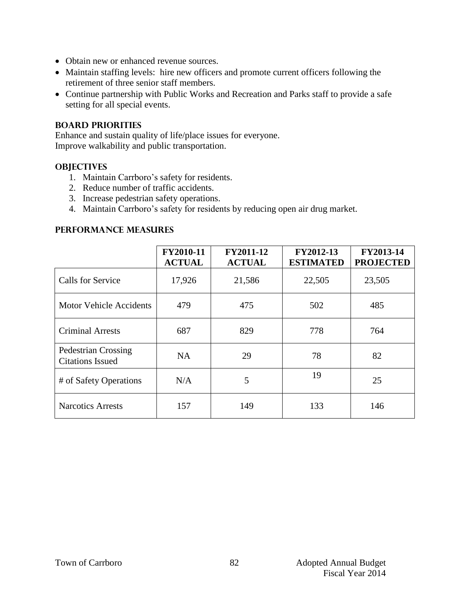- Obtain new or enhanced revenue sources.
- Maintain staffing levels: hire new officers and promote current officers following the retirement of three senior staff members.
- Continue partnership with Public Works and Recreation and Parks staff to provide a safe setting for all special events.

#### **BOARD PRIORITIES**

Enhance and sustain quality of life/place issues for everyone. Improve walkability and public transportation.

#### **OBJECTIVES**

- 1. Maintain Carrboro's safety for residents.
- 2. Reduce number of traffic accidents.
- 3. Increase pedestrian safety operations.
- 4. Maintain Carrboro's safety for residents by reducing open air drug market.

#### **Performance Measures**

|                                                | FY2010-11<br><b>ACTUAL</b> | FY2011-12<br><b>ACTUAL</b> | FY2012-13<br><b>ESTIMATED</b> | FY2013-14<br><b>PROJECTED</b> |
|------------------------------------------------|----------------------------|----------------------------|-------------------------------|-------------------------------|
| Calls for Service                              | 17,926                     | 21,586                     | 22,505                        | 23,505                        |
| <b>Motor Vehicle Accidents</b>                 | 479                        | 475                        | 502                           | 485                           |
| <b>Criminal Arrests</b>                        | 687                        | 829                        | 778                           | 764                           |
| Pedestrian Crossing<br><b>Citations Issued</b> | <b>NA</b>                  | 29                         | 78                            | 82                            |
| # of Safety Operations                         | N/A                        | 5                          | 19                            | 25                            |
| <b>Narcotics Arrests</b>                       | 157                        | 149                        | 133                           | 146                           |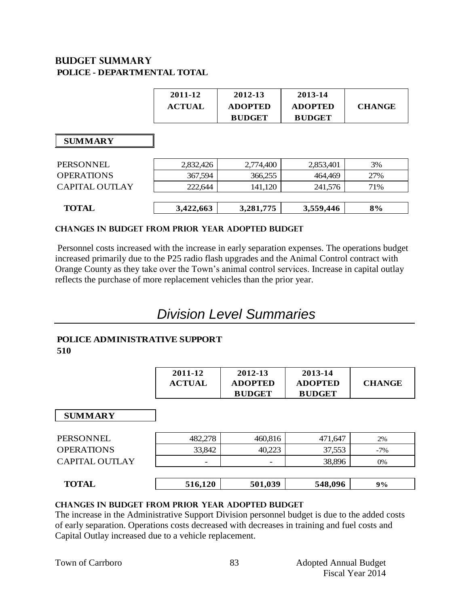# **Budget summary POLICE - DEPARTMENTAL TOTAL**

| 2011-12       | 2012-13        | 2013-14        |               |
|---------------|----------------|----------------|---------------|
| <b>ACTUAL</b> | <b>ADOPTED</b> | <b>ADOPTED</b> | <b>CHANGE</b> |
|               | <b>BUDGET</b>  | <b>BUDGET</b>  |               |

#### **SUMMARY**

| <b>TOTAL</b>      | 3,422,663 | 3,281,775 | 3,559,446 | 8%  |
|-------------------|-----------|-----------|-----------|-----|
|                   |           |           |           |     |
| CAPITAL OUTLAY    | 222.644   | 141.120   | 241,576   | 71% |
| <b>OPERATIONS</b> | 367,594   | 366,255   | 464.469   | 27% |
| PERSONNEL         | 2,832,426 | 2,774,400 | 2,853,401 | 3%  |

#### **CHANGES IN BUDGET from PRIOR YEAR ADOPTED BUDGET**

Personnel costs increased with the increase in early separation expenses. The operations budget increased primarily due to the P25 radio flash upgrades and the Animal Control contract with Orange County as they take over the Town's animal control services. Increase in capital outlay reflects the purchase of more replacement vehicles than the prior year.

# *Division Level Summaries*

#### **POLICE ADMINISTRATIVE SUPPORT 510**

| 2011-12       | 2012-13        | 2013-14        |               |
|---------------|----------------|----------------|---------------|
| <b>ACTUAL</b> | <b>ADOPTED</b> | <b>ADOPTED</b> | <b>CHANGE</b> |
|               | <b>BUDGET</b>  | <b>BUDGET</b>  |               |

#### **SUMMARY**

| PERSONNEL             | 482,278                  | 460,816                  | 471,647 | 2%    |
|-----------------------|--------------------------|--------------------------|---------|-------|
| <b>OPERATIONS</b>     | 33,842                   | 40,223                   | 37,553  | $-7%$ |
| <b>CAPITAL OUTLAY</b> | $\overline{\phantom{0}}$ | $\overline{\phantom{0}}$ | 38,896  | $0\%$ |
|                       |                          |                          |         |       |
| <b>TOTAL</b>          | 516,120                  | 501,039                  | 548,096 | 9%    |
|                       |                          |                          |         |       |

| <b>TOTAI</b> | 20<br>. 6 | .039<br>501 | 548.096 | 9% |
|--------------|-----------|-------------|---------|----|
|              |           |             |         |    |

#### **changes in budget from prior year adopted budget**

The increase in the Administrative Support Division personnel budget is due to the added costs of early separation. Operations costs decreased with decreases in training and fuel costs and Capital Outlay increased due to a vehicle replacement.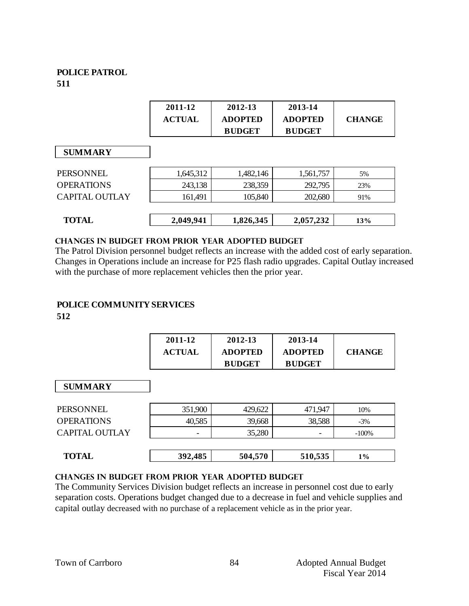## **POLICE PATROL 511**

|                       | 2011-12<br><b>ACTUAL</b> | 2012-13<br><b>ADOPTED</b><br><b>BUDGET</b> | 2013-14<br><b>ADOPTED</b><br><b>BUDGET</b> | <b>CHANGE</b> |
|-----------------------|--------------------------|--------------------------------------------|--------------------------------------------|---------------|
| <b>SUMMARY</b>        |                          |                                            |                                            |               |
| PERSONNEL             | 1,645,312                | 1,482,146                                  | 1,561,757                                  | 5%            |
| <b>OPERATIONS</b>     | 243,138                  | 238,359                                    | 292,795                                    | 23%           |
| <b>CAPITAL OUTLAY</b> | 161,491                  | 105,840                                    | 202,680                                    | 91%           |
|                       |                          |                                            |                                            |               |
| <b>TOTAL</b>          | 2,049,941                | 1,826,345                                  | 2,057,232                                  | 13%           |

#### **changes in budget from prior year adopted budget**

The Patrol Division personnel budget reflects an increase with the added cost of early separation. Changes in Operations include an increase for P25 flash radio upgrades. Capital Outlay increased with the purchase of more replacement vehicles then the prior year.

# **POLICE COMMUNITY SERVICES**

**512**

| 2011-12       | 2012-13        | 2013-14        |               |
|---------------|----------------|----------------|---------------|
| <b>ACTUAL</b> | <b>ADOPTED</b> | <b>ADOPTED</b> | <b>CHANGE</b> |
|               | <b>BUDGET</b>  | <b>BUDGET</b>  |               |

#### **SUMMARY**

| <b>TOTAL</b>          | 392,485 | 504,570 | 510,535 | 1%       |
|-----------------------|---------|---------|---------|----------|
| <b>CAPITAL OUTLAY</b> |         | 35,280  |         | $-100\%$ |
| <b>OPERATIONS</b>     | 40,585  | 39,668  | 38,588  | $-3%$    |
| PERSONNEL             | 351,900 | 429,622 | 471,947 | 10%      |

#### **changes in budget from prior year adopted budget**

The Community Services Division budget reflects an increase in personnel cost due to early separation costs. Operations budget changed due to a decrease in fuel and vehicle supplies and capital outlay decreased with no purchase of a replacement vehicle as in the prior year.